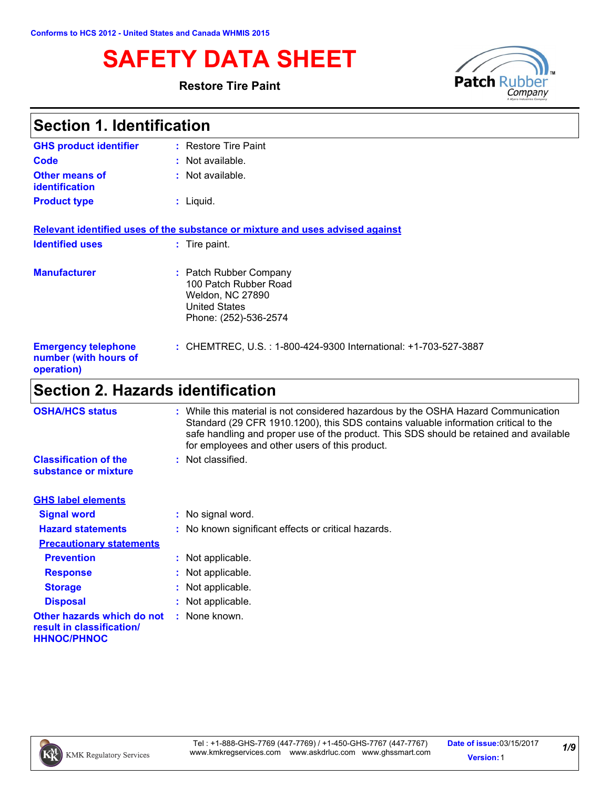Ē

# **SAFETY DATA SHEET**<br>Restore Tire Paint<br>Restore Tire Paint<br>Restore Tire Paint

#### **Restore Tire Paint**



| <b>Section 1. Identification</b>                                  |                                                                                                                      |  |
|-------------------------------------------------------------------|----------------------------------------------------------------------------------------------------------------------|--|
| <b>GHS product identifier</b>                                     | : Restore Tire Paint                                                                                                 |  |
| Code                                                              | $:$ Not available.                                                                                                   |  |
| Other means of<br>identification                                  | : Not available.                                                                                                     |  |
| <b>Product type</b>                                               | $:$ Liquid.                                                                                                          |  |
|                                                                   | Relevant identified uses of the substance or mixture and uses advised against                                        |  |
| <b>Identified uses</b>                                            | : Tire paint.                                                                                                        |  |
| <b>Manufacturer</b>                                               | : Patch Rubber Company<br>100 Patch Rubber Road<br>Weldon, NC 27890<br><b>United States</b><br>Phone: (252)-536-2574 |  |
| <b>Emergency telephone</b><br>number (with hours of<br>operation) | : CHEMTREC, U.S.: 1-800-424-9300 International: +1-703-527-3887                                                      |  |
| <b>Section 2. Hazards identification</b>                          |                                                                                                                      |  |
| <b>OSHA/HCS etatue</b>                                            | . While this material is not considered hazardous by the OSHA Hazard Communication                                   |  |

| <b>OSHA/HCS status</b>                                                        | : While this material is not considered hazardous by the OSHA Hazard Communication<br>Standard (29 CFR 1910.1200), this SDS contains valuable information critical to the<br>safe handling and proper use of the product. This SDS should be retained and available<br>for employees and other users of this product. |
|-------------------------------------------------------------------------------|-----------------------------------------------------------------------------------------------------------------------------------------------------------------------------------------------------------------------------------------------------------------------------------------------------------------------|
| <b>Classification of the</b><br>substance or mixture                          | : Not classified.                                                                                                                                                                                                                                                                                                     |
| <b>GHS label elements</b>                                                     |                                                                                                                                                                                                                                                                                                                       |
| <b>Signal word</b>                                                            | : No signal word.                                                                                                                                                                                                                                                                                                     |
| <b>Hazard statements</b>                                                      | : No known significant effects or critical hazards.                                                                                                                                                                                                                                                                   |
| <b>Precautionary statements</b>                                               |                                                                                                                                                                                                                                                                                                                       |
| <b>Prevention</b>                                                             | : Not applicable.                                                                                                                                                                                                                                                                                                     |
| <b>Response</b>                                                               | : Not applicable.                                                                                                                                                                                                                                                                                                     |
| <b>Storage</b>                                                                | : Not applicable.                                                                                                                                                                                                                                                                                                     |
| <b>Disposal</b>                                                               | : Not applicable.                                                                                                                                                                                                                                                                                                     |
| Other hazards which do not<br>result in classification/<br><b>HHNOC/PHNOC</b> | : None known.                                                                                                                                                                                                                                                                                                         |

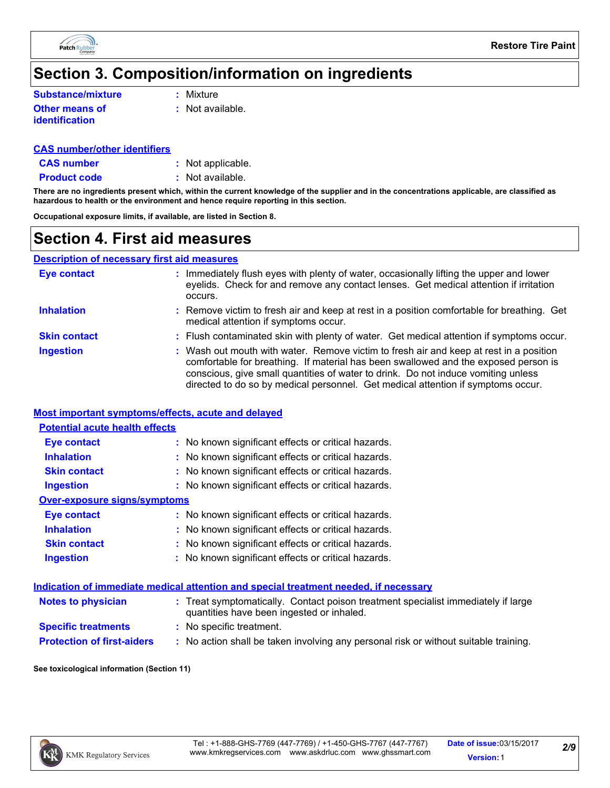

## **Section 3. Composition/information on ingredients**

| <b>Substance/mixture</b> |             |
|--------------------------|-------------|
|                          | $:$ Mixture |

**Other means of identification**

**:** Not available.

#### **CAS number/other identifiers**

**CAS number :** Not applicable.

**Product code** : Not available.

**There are no ingredients present which, within the current knowledge of the supplier and in the concentrations applicable, are classified as hazardous to health or the environment and hence require reporting in this section.**

**Occupational exposure limits, if available, are listed in Section 8.**

## **Section 4. First aid measures**

#### **Description of necessary first aid measures**

| <b>Eye contact</b>  | Immediately flush eyes with plenty of water, occasionally lifting the upper and lower<br>eyelids. Check for and remove any contact lenses. Get medical attention if irritation<br>occurs.                                                                                                                                                              |
|---------------------|--------------------------------------------------------------------------------------------------------------------------------------------------------------------------------------------------------------------------------------------------------------------------------------------------------------------------------------------------------|
| <b>Inhalation</b>   | : Remove victim to fresh air and keep at rest in a position comfortable for breathing. Get<br>medical attention if symptoms occur.                                                                                                                                                                                                                     |
| <b>Skin contact</b> | : Flush contaminated skin with plenty of water. Get medical attention if symptoms occur.                                                                                                                                                                                                                                                               |
| <b>Ingestion</b>    | : Wash out mouth with water. Remove victim to fresh air and keep at rest in a position<br>comfortable for breathing. If material has been swallowed and the exposed person is<br>conscious, give small quantities of water to drink. Do not induce vomiting unless<br>directed to do so by medical personnel. Get medical attention if symptoms occur. |

#### **Most important symptoms/effects, acute and delayed**

#### **Potential acute health effects**

| <b>Eye contact</b>           | : No known significant effects or critical hazards. |
|------------------------------|-----------------------------------------------------|
| <b>Inhalation</b>            | : No known significant effects or critical hazards. |
| <b>Skin contact</b>          | : No known significant effects or critical hazards. |
| <b>Ingestion</b>             | : No known significant effects or critical hazards. |
| Over-exposure signs/symptoms |                                                     |
| <b>Eye contact</b>           | : No known significant effects or critical hazards. |
| <b>Inhalation</b>            | : No known significant effects or critical hazards. |
| <b>Skin contact</b>          | : No known significant effects or critical hazards. |
| <b>Ingestion</b>             | : No known significant effects or critical hazards. |
|                              |                                                     |

#### **Indication of immediate medical attention and special treatment needed, if necessary**

| <b>Notes to physician</b>         | : Treat symptomatically. Contact poison treatment specialist immediately if large<br>quantities have been ingested or inhaled. |
|-----------------------------------|--------------------------------------------------------------------------------------------------------------------------------|
| <b>Specific treatments</b>        | : No specific treatment.                                                                                                       |
| <b>Protection of first-aiders</b> | : No action shall be taken involving any personal risk or without suitable training.                                           |

**See toxicological information (Section 11)**

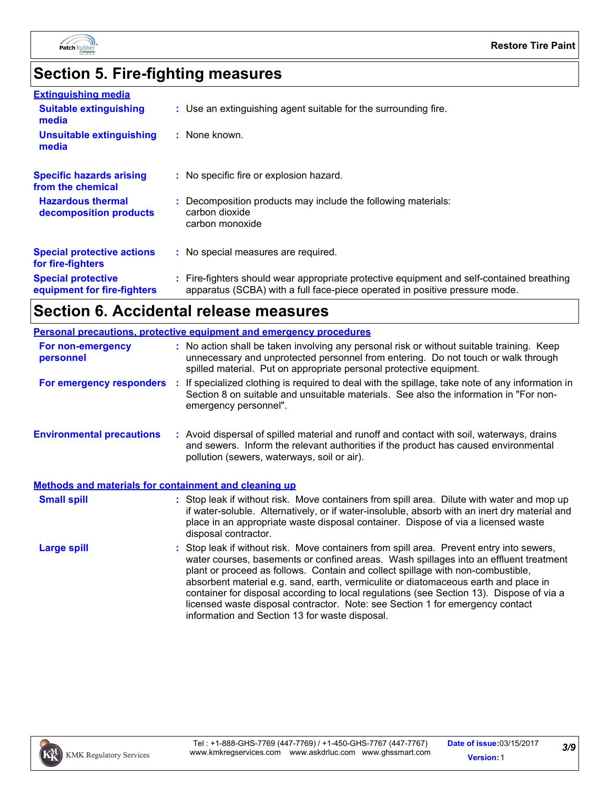

# **Section 5. Fire-fighting measures**

| <b>Extinguishing media</b>                               |                                                                                                                                                                          |
|----------------------------------------------------------|--------------------------------------------------------------------------------------------------------------------------------------------------------------------------|
| <b>Suitable extinguishing</b><br>media                   | : Use an extinguishing agent suitable for the surrounding fire.                                                                                                          |
| <b>Unsuitable extinguishing</b><br>media                 | : None known.                                                                                                                                                            |
| <b>Specific hazards arising</b><br>from the chemical     | : No specific fire or explosion hazard.                                                                                                                                  |
| <b>Hazardous thermal</b><br>decomposition products       | : Decomposition products may include the following materials:<br>carbon dioxide<br>carbon monoxide                                                                       |
| <b>Special protective actions</b><br>for fire-fighters   | : No special measures are required.                                                                                                                                      |
| <b>Special protective</b><br>equipment for fire-fighters | : Fire-fighters should wear appropriate protective equipment and self-contained breathing<br>apparatus (SCBA) with a full face-piece operated in positive pressure mode. |

# **Section 6. Accidental release measures**

| Personal precautions, protective equipment and emergency procedures |  |                                                                                                                                                                                                                                                                                                                                                                                                                                                                                                                                                                                            |  |
|---------------------------------------------------------------------|--|--------------------------------------------------------------------------------------------------------------------------------------------------------------------------------------------------------------------------------------------------------------------------------------------------------------------------------------------------------------------------------------------------------------------------------------------------------------------------------------------------------------------------------------------------------------------------------------------|--|
| For non-emergency<br>personnel                                      |  | : No action shall be taken involving any personal risk or without suitable training. Keep<br>unnecessary and unprotected personnel from entering. Do not touch or walk through<br>spilled material. Put on appropriate personal protective equipment.                                                                                                                                                                                                                                                                                                                                      |  |
|                                                                     |  | For emergency responders : If specialized clothing is required to deal with the spillage, take note of any information in<br>Section 8 on suitable and unsuitable materials. See also the information in "For non-<br>emergency personnel".                                                                                                                                                                                                                                                                                                                                                |  |
| <b>Environmental precautions</b>                                    |  | : Avoid dispersal of spilled material and runoff and contact with soil, waterways, drains<br>and sewers. Inform the relevant authorities if the product has caused environmental<br>pollution (sewers, waterways, soil or air).                                                                                                                                                                                                                                                                                                                                                            |  |
| <b>Methods and materials for containment and cleaning up</b>        |  |                                                                                                                                                                                                                                                                                                                                                                                                                                                                                                                                                                                            |  |
| <b>Small spill</b>                                                  |  | : Stop leak if without risk. Move containers from spill area. Dilute with water and mop up<br>if water-soluble. Alternatively, or if water-insoluble, absorb with an inert dry material and<br>place in an appropriate waste disposal container. Dispose of via a licensed waste<br>disposal contractor.                                                                                                                                                                                                                                                                                   |  |
| <b>Large spill</b>                                                  |  | : Stop leak if without risk. Move containers from spill area. Prevent entry into sewers,<br>water courses, basements or confined areas. Wash spillages into an effluent treatment<br>plant or proceed as follows. Contain and collect spillage with non-combustible,<br>absorbent material e.g. sand, earth, vermiculite or diatomaceous earth and place in<br>container for disposal according to local regulations (see Section 13). Dispose of via a<br>licensed waste disposal contractor. Note: see Section 1 for emergency contact<br>information and Section 13 for waste disposal. |  |

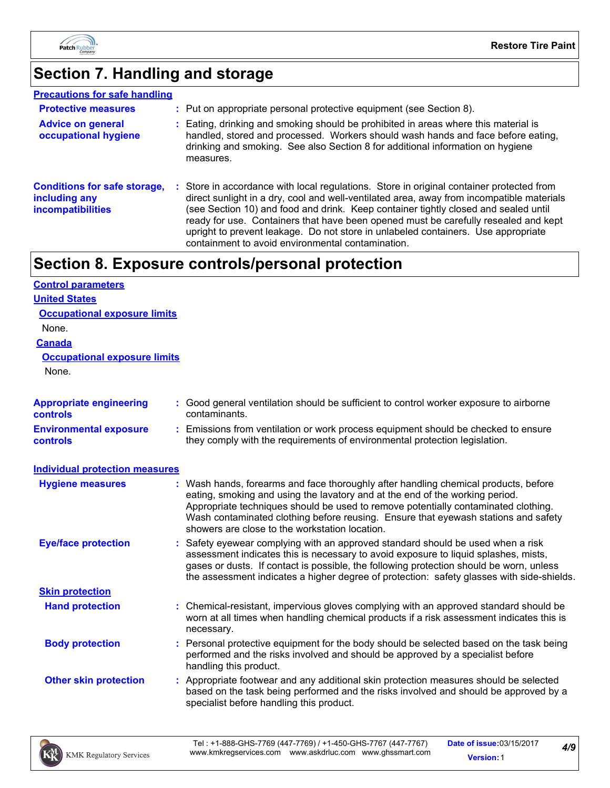

## **Section 7. Handling and storage**

| <b>Precautions for safe handling</b>                                             |                                                                                                                                                                                                                                                                                                                                                                                                                                                                                                               |
|----------------------------------------------------------------------------------|---------------------------------------------------------------------------------------------------------------------------------------------------------------------------------------------------------------------------------------------------------------------------------------------------------------------------------------------------------------------------------------------------------------------------------------------------------------------------------------------------------------|
| <b>Protective measures</b>                                                       | : Put on appropriate personal protective equipment (see Section 8).                                                                                                                                                                                                                                                                                                                                                                                                                                           |
| <b>Advice on general</b><br>occupational hygiene                                 | : Eating, drinking and smoking should be prohibited in areas where this material is<br>handled, stored and processed. Workers should wash hands and face before eating,<br>drinking and smoking. See also Section 8 for additional information on hygiene<br>measures.                                                                                                                                                                                                                                        |
| <b>Conditions for safe storage,</b><br>including any<br><b>incompatibilities</b> | : Store in accordance with local regulations. Store in original container protected from<br>direct sunlight in a dry, cool and well-ventilated area, away from incompatible materials<br>(see Section 10) and food and drink. Keep container tightly closed and sealed until<br>ready for use. Containers that have been opened must be carefully resealed and kept<br>upright to prevent leakage. Do not store in unlabeled containers. Use appropriate<br>containment to avoid environmental contamination. |

## **Section 8. Exposure controls/personal protection**

| <b>Control parameters</b>                        |                                                                                                                                                                                                                                                                                                                                                                                                   |
|--------------------------------------------------|---------------------------------------------------------------------------------------------------------------------------------------------------------------------------------------------------------------------------------------------------------------------------------------------------------------------------------------------------------------------------------------------------|
| <b>United States</b>                             |                                                                                                                                                                                                                                                                                                                                                                                                   |
| <b>Occupational exposure limits</b>              |                                                                                                                                                                                                                                                                                                                                                                                                   |
| None.                                            |                                                                                                                                                                                                                                                                                                                                                                                                   |
| <b>Canada</b>                                    |                                                                                                                                                                                                                                                                                                                                                                                                   |
| <b>Occupational exposure limits</b>              |                                                                                                                                                                                                                                                                                                                                                                                                   |
| None.                                            |                                                                                                                                                                                                                                                                                                                                                                                                   |
| <b>Appropriate engineering</b><br>controls       | : Good general ventilation should be sufficient to control worker exposure to airborne<br>contaminants.                                                                                                                                                                                                                                                                                           |
| <b>Environmental exposure</b><br><b>controls</b> | : Emissions from ventilation or work process equipment should be checked to ensure<br>they comply with the requirements of environmental protection legislation.                                                                                                                                                                                                                                  |
| <b>Individual protection measures</b>            |                                                                                                                                                                                                                                                                                                                                                                                                   |
| <b>Hygiene measures</b>                          | : Wash hands, forearms and face thoroughly after handling chemical products, before<br>eating, smoking and using the lavatory and at the end of the working period.<br>Appropriate techniques should be used to remove potentially contaminated clothing.<br>Wash contaminated clothing before reusing. Ensure that eyewash stations and safety<br>showers are close to the workstation location. |
| <b>Eye/face protection</b>                       | : Safety eyewear complying with an approved standard should be used when a risk<br>assessment indicates this is necessary to avoid exposure to liquid splashes, mists,<br>gases or dusts. If contact is possible, the following protection should be worn, unless<br>the assessment indicates a higher degree of protection: safety glasses with side-shields.                                    |
| <b>Skin protection</b>                           |                                                                                                                                                                                                                                                                                                                                                                                                   |
| <b>Hand protection</b>                           | : Chemical-resistant, impervious gloves complying with an approved standard should be<br>worn at all times when handling chemical products if a risk assessment indicates this is<br>necessary.                                                                                                                                                                                                   |
| <b>Body protection</b>                           | : Personal protective equipment for the body should be selected based on the task being<br>performed and the risks involved and should be approved by a specialist before<br>handling this product.                                                                                                                                                                                               |
| <b>Other skin protection</b>                     | : Appropriate footwear and any additional skin protection measures should be selected<br>based on the task being performed and the risks involved and should be approved by a<br>specialist before handling this product.                                                                                                                                                                         |

*4/9*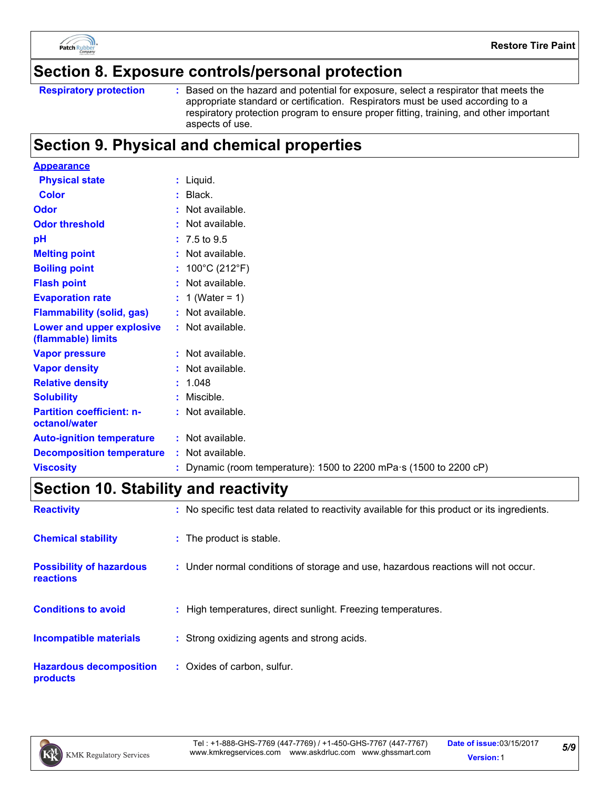

### **Section 8. Exposure controls/personal protection**

Based on the hazard and potential for exposure, select a respirator that meets the appropriate standard or certification. Respirators must be used according to a respiratory protection program to ensure proper fitting, training, and other important aspects of use.

## **Section 9. Physical and chemical properties**

| <b>Appearance</b>                                 |                                                                            |
|---------------------------------------------------|----------------------------------------------------------------------------|
| <b>Physical state</b>                             | $:$ Liquid.                                                                |
| <b>Color</b>                                      | $:$ Black.                                                                 |
| Odor                                              | : Not available.                                                           |
| <b>Odor threshold</b>                             | : Not available.                                                           |
| pH                                                | $: 7.5 \text{ to } 9.5$                                                    |
| <b>Melting point</b>                              | : Not available.                                                           |
| <b>Boiling point</b>                              | : $100^{\circ}$ C (212 $^{\circ}$ F)                                       |
| <b>Flash point</b>                                | : Not available.                                                           |
| <b>Evaporation rate</b>                           | : 1 (Water = 1)                                                            |
| <b>Flammability (solid, gas)</b>                  | : Not available.                                                           |
| Lower and upper explosive<br>(flammable) limits   | : Not available.                                                           |
| <b>Vapor pressure</b>                             | : Not available.                                                           |
| <b>Vapor density</b>                              | : Not available.                                                           |
| <b>Relative density</b>                           | : 1.048                                                                    |
| <b>Solubility</b>                                 | : Miscible.                                                                |
| <b>Partition coefficient: n-</b><br>octanol/water | : Not available.                                                           |
| <b>Auto-ignition temperature</b>                  | : Not available.                                                           |
| <b>Decomposition temperature</b>                  | : Not available.                                                           |
| <b>Viscosity</b>                                  | : Dynamic (room temperature): 1500 to 2200 mPa $\cdot$ s (1500 to 2200 cP) |

## **Section 10. Stability and reactivity**

| <b>Reactivity</b>                                   | : No specific test data related to reactivity available for this product or its ingredients. |
|-----------------------------------------------------|----------------------------------------------------------------------------------------------|
| <b>Chemical stability</b>                           | : The product is stable.                                                                     |
| <b>Possibility of hazardous</b><br><b>reactions</b> | : Under normal conditions of storage and use, hazardous reactions will not occur.            |
| <b>Conditions to avoid</b>                          | : High temperatures, direct sunlight. Freezing temperatures.                                 |
| <b>Incompatible materials</b>                       | : Strong oxidizing agents and strong acids.                                                  |
| <b>Hazardous decomposition</b><br><b>products</b>   | : Oxides of carbon, sulfur.                                                                  |



**Respiratory protection :**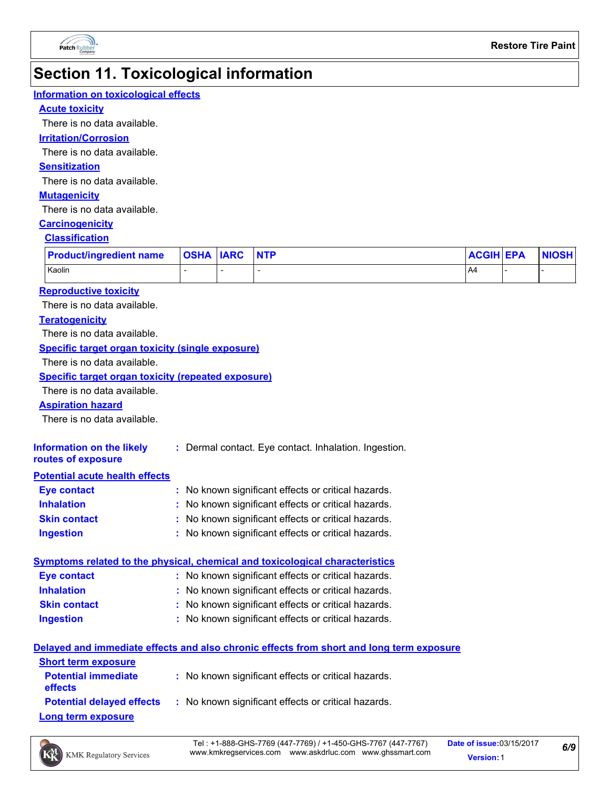

## **Section 11. Toxicological information**

#### **Information on toxicological effects**

#### **Acute toxicity**

There is no data available.

#### **Irritation/Corrosion**

There is no data available.

#### **Sensitization**

There is no data available.

#### **Mutagenicity**

There is no data available.

#### **Carcinogenicity**

#### **Classification**

| <b>Product/ingredient name</b> | <b>OSHA ARC</b> | <b>NTP</b> | <b>ACGIH EPA</b> | <b>NIOSH</b> |
|--------------------------------|-----------------|------------|------------------|--------------|
| Kaolin                         |                 |            | .A4              |              |

#### **Reproductive toxicity**

There is no data available.

#### **Teratogenicity**

There is no data available.

#### **Specific target organ toxicity (single exposure)**

There is no data available.

#### **Specific target organ toxicity (repeated exposure)**

There is no data available.

#### **Aspiration hazard**

There is no data available.

| Information on the likely | : Dermal contact. Eye contact. Inhalation. Ingestion. |
|---------------------------|-------------------------------------------------------|
| routes of exposure        |                                                       |

#### **Potential acute health effects**

| Eye contact         | : No known significant effects or critical hazards. |
|---------------------|-----------------------------------------------------|
| <b>Inhalation</b>   | : No known significant effects or critical hazards. |
| <b>Skin contact</b> | : No known significant effects or critical hazards. |
| <b>Ingestion</b>    | : No known significant effects or critical hazards. |

|                    | Symptoms related to the physical, chemical and toxicological characteristics |  |
|--------------------|------------------------------------------------------------------------------|--|
| <b>Eve contact</b> | : No known significant effects or critical hazards.                          |  |

| <b>Inhalation</b> | : No known significant effects or critical hazards. |  |
|-------------------|-----------------------------------------------------|--|
|-------------------|-----------------------------------------------------|--|

- **Skin contact** No known significant effects or critical hazards. **:**
- **Ingestion** No known significant effects or critical hazards. **:**

#### **Delayed and immediate effects and also chronic effects from short and long term exposure**

| <b>Short term exposure</b>                   |                                                                                      |
|----------------------------------------------|--------------------------------------------------------------------------------------|
| <b>Potential immediate</b><br><b>effects</b> | : No known significant effects or critical hazards.                                  |
|                                              | <b>Potential delayed effects</b> : No known significant effects or critical hazards. |
| <b>Long term exposure</b>                    |                                                                                      |



*6/9*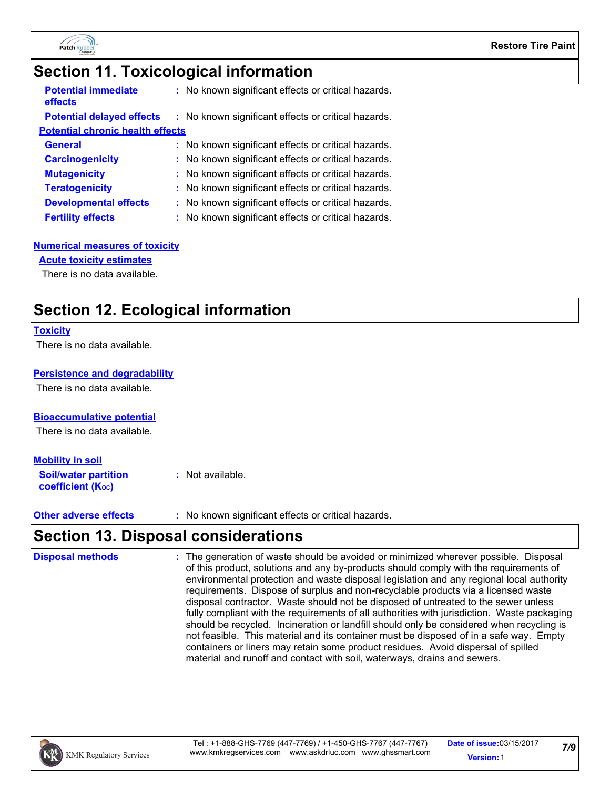

## **Section 11. Toxicological information**

| <b>Potential immediate</b><br>effects   | : No known significant effects or critical hazards. |  |
|-----------------------------------------|-----------------------------------------------------|--|
| <b>Potential delayed effects</b>        | : No known significant effects or critical hazards. |  |
| <b>Potential chronic health effects</b> |                                                     |  |
| <b>General</b>                          | : No known significant effects or critical hazards. |  |
| <b>Carcinogenicity</b>                  | : No known significant effects or critical hazards. |  |
| <b>Mutagenicity</b>                     | : No known significant effects or critical hazards. |  |
| <b>Teratogenicity</b>                   | : No known significant effects or critical hazards. |  |
| <b>Developmental effects</b>            | : No known significant effects or critical hazards. |  |
| <b>Fertility effects</b>                | : No known significant effects or critical hazards. |  |

#### **Numerical measures of toxicity**

#### **Acute toxicity estimates**

There is no data available.

## **Section 12. Ecological information**

#### **Toxicity**

There is no data available.

#### **Persistence and degradability**

There is no data available.

#### **Bioaccumulative potential**

There is no data available.

#### **Mobility in soil**

**Soil/water partition coefficient (Koc) :** Not available.

**Other adverse effects :** No known significant effects or critical hazards.

## **Section 13. Disposal considerations**

The generation of waste should be avoided or minimized wherever possible. Disposal of this product, solutions and any by-products should comply with the requirements of environmental protection and waste disposal legislation and any regional local authority requirements. Dispose of surplus and non-recyclable products via a licensed waste disposal contractor. Waste should not be disposed of untreated to the sewer unless fully compliant with the requirements of all authorities with jurisdiction. Waste packaging should be recycled. Incineration or landfill should only be considered when recycling is not feasible. This material and its container must be disposed of in a safe way. Empty containers or liners may retain some product residues. Avoid dispersal of spilled material and runoff and contact with soil, waterways, drains and sewers. **Disposal methods :**

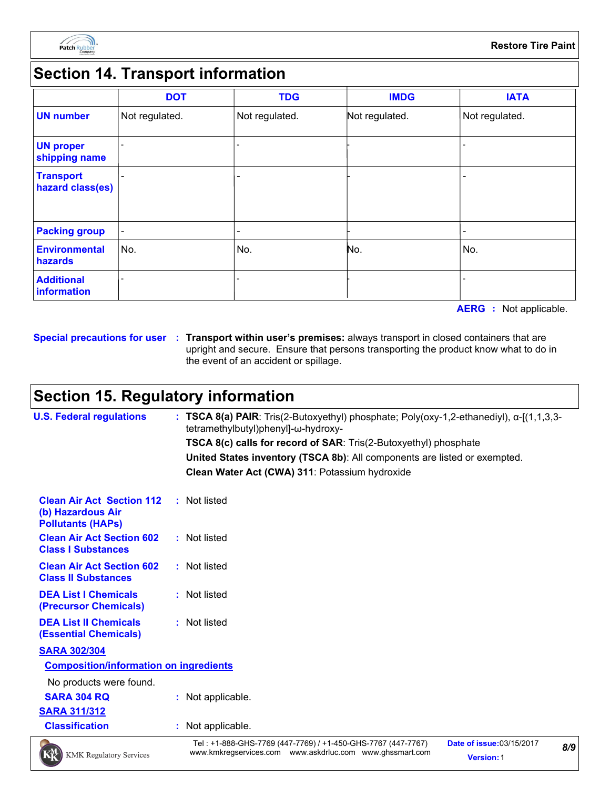

## **Section 14. Transport information**

|                                      | <b>DOT</b>     | <b>TDG</b>               | <b>IMDG</b>    | <b>IATA</b>    |
|--------------------------------------|----------------|--------------------------|----------------|----------------|
| <b>UN number</b>                     | Not regulated. | Not regulated.           | Not regulated. | Not regulated. |
| <b>UN proper</b><br>shipping name    |                |                          |                |                |
| <b>Transport</b><br>hazard class(es) |                |                          |                |                |
| <b>Packing group</b>                 | $\blacksquare$ | $\overline{\phantom{a}}$ |                |                |
| Environmental<br>hazards             | No.            | No.                      | No.            | No.            |
| <b>Additional</b><br>information     |                | $\overline{\phantom{0}}$ |                |                |

**AERG :** Not applicable.

**Special precautions for user Transport within user's premises:** always transport in closed containers that are **:** upright and secure. Ensure that persons transporting the product know what to do in the event of an accident or spillage.

## **Section 15. Regulatory information**

| <b>U.S. Federal regulations</b>                                                   |  | : TSCA 8(a) PAIR: Tris(2-Butoxyethyl) phosphate; Poly(oxy-1,2-ethanediyl), α-[(1,1,3,3-<br>tetramethylbutyl)phenyl]-ω-hydroxy- |                                  |     |
|-----------------------------------------------------------------------------------|--|--------------------------------------------------------------------------------------------------------------------------------|----------------------------------|-----|
|                                                                                   |  | TSCA 8(c) calls for record of SAR: Tris(2-Butoxyethyl) phosphate                                                               |                                  |     |
|                                                                                   |  | United States inventory (TSCA 8b): All components are listed or exempted.                                                      |                                  |     |
|                                                                                   |  | Clean Water Act (CWA) 311: Potassium hydroxide                                                                                 |                                  |     |
| <b>Clean Air Act Section 112</b><br>(b) Hazardous Air<br><b>Pollutants (HAPS)</b> |  | : Not listed                                                                                                                   |                                  |     |
| <b>Clean Air Act Section 602</b><br><b>Class I Substances</b>                     |  | : Not listed                                                                                                                   |                                  |     |
| <b>Clean Air Act Section 602</b><br><b>Class II Substances</b>                    |  | : Not listed                                                                                                                   |                                  |     |
| <b>DEA List I Chemicals</b><br>(Precursor Chemicals)                              |  | : Not listed                                                                                                                   |                                  |     |
| <b>DEA List II Chemicals</b><br><b>(Essential Chemicals)</b>                      |  | : Not listed                                                                                                                   |                                  |     |
| <b>SARA 302/304</b>                                                               |  |                                                                                                                                |                                  |     |
| <b>Composition/information on ingredients</b>                                     |  |                                                                                                                                |                                  |     |
| No products were found.                                                           |  |                                                                                                                                |                                  |     |
| <b>SARA 304 RQ</b>                                                                |  | : Not applicable.                                                                                                              |                                  |     |
| <b>SARA 311/312</b>                                                               |  |                                                                                                                                |                                  |     |
| <b>Classification</b>                                                             |  | : Not applicable.                                                                                                              |                                  |     |
| $\rightarrow$                                                                     |  | Tel: +1-888-GHS-7769 (447-7769) / +1-450-GHS-7767 (447-7767)                                                                   | <b>Date of issue: 03/15/2017</b> | 9/0 |



www.kmkregservices.com www.askdrluc.com www.ghssmart.com